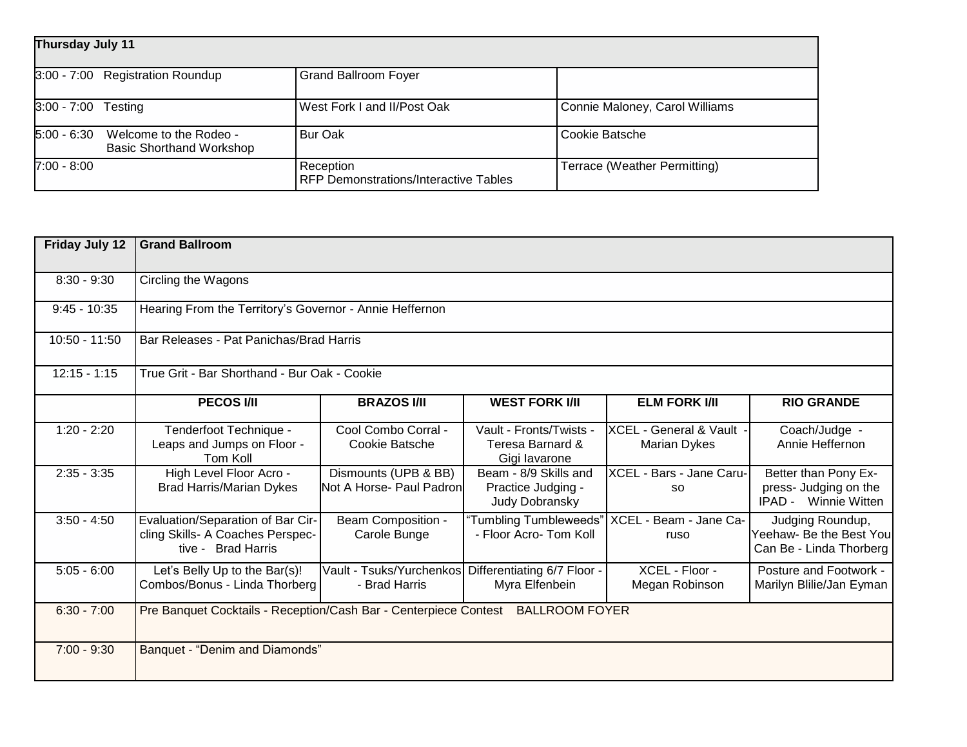| Thursday July 11                                                           |                                                           |                                |  |  |
|----------------------------------------------------------------------------|-----------------------------------------------------------|--------------------------------|--|--|
| 3:00 - 7:00 Registration Roundup                                           | <b>Grand Ballroom Foyer</b>                               |                                |  |  |
| 3:00 - 7:00 Testing                                                        | West Fork I and II/Post Oak                               | Connie Maloney, Carol Williams |  |  |
| $5:00 - 6:30$<br>Welcome to the Rodeo -<br><b>Basic Shorthand Workshop</b> | Bur Oak                                                   | Cookie Batsche                 |  |  |
| $7:00 - 8:00$                                                              | Reception<br><b>RFP Demonstrations/Interactive Tables</b> | Terrace (Weather Permitting)   |  |  |

| <b>Friday July 12</b> | <b>Grand Ballroom</b>                                                                       |                                                  |                                                               |                                          |                                                                              |
|-----------------------|---------------------------------------------------------------------------------------------|--------------------------------------------------|---------------------------------------------------------------|------------------------------------------|------------------------------------------------------------------------------|
| $8:30 - 9:30$         | Circling the Wagons                                                                         |                                                  |                                                               |                                          |                                                                              |
| $9:45 - 10:35$        | Hearing From the Territory's Governor - Annie Heffernon                                     |                                                  |                                                               |                                          |                                                                              |
| $10:50 - 11:50$       | Bar Releases - Pat Panichas/Brad Harris                                                     |                                                  |                                                               |                                          |                                                                              |
| $12:15 - 1:15$        | True Grit - Bar Shorthand - Bur Oak - Cookie                                                |                                                  |                                                               |                                          |                                                                              |
|                       | <b>PECOS I/II</b>                                                                           | <b>BRAZOS I/II</b>                               | <b>WEST FORK I/II</b>                                         | <b>ELM FORK I/II</b>                     | <b>RIO GRANDE</b>                                                            |
| $1:20 - 2:20$         | Tenderfoot Technique -<br>Leaps and Jumps on Floor -<br>Tom Koll                            | Cool Combo Corral -<br>Cookie Batsche            | Vault - Fronts/Twists -<br>Teresa Barnard &<br>Gigi lavarone  | XCEL - General & Vault -<br>Marian Dykes | Coach/Judge -<br>Annie Heffernon                                             |
| $2:35 - 3:35$         | High Level Floor Acro -<br><b>Brad Harris/Marian Dykes</b>                                  | Dismounts (UPB & BB)<br>Not A Horse- Paul Padron | Beam - 8/9 Skills and<br>Practice Judging -<br>Judy Dobransky | XCEL - Bars - Jane Caru-<br><b>SO</b>    | Better than Pony Ex-<br>press- Judging on the<br><b>IPAD</b> - Winnie Witten |
| $3:50 - 4:50$         | Evaluation/Separation of Bar Cir-<br>cling Skills- A Coaches Perspec-<br>tive - Brad Harris | <b>Beam Composition -</b><br>Carole Bunge        | "Tumbling Tumbleweeds"<br>- Floor Acro- Tom Koll              | XCEL - Beam - Jane Ca-<br>ruso           | Judging Roundup,<br>Yeehaw- Be the Best You<br>Can Be - Linda Thorberg       |
| $5:05 - 6:00$         | Let's Belly Up to the Bar(s)!<br>Combos/Bonus - Linda Thorberg                              | Vault - Tsuks/Yurchenkos<br>- Brad Harris        | Differentiating 6/7 Floor -<br>Myra Elfenbein                 | XCEL - Floor -<br>Megan Robinson         | Posture and Footwork -<br>Marilyn Blilie/Jan Eyman                           |
| $6:30 - 7:00$         | Pre Banquet Cocktails - Reception/Cash Bar - Centerpiece Contest BALLROOM FOYER             |                                                  |                                                               |                                          |                                                                              |
| $7:00 - 9:30$         | Banquet - "Denim and Diamonds"                                                              |                                                  |                                                               |                                          |                                                                              |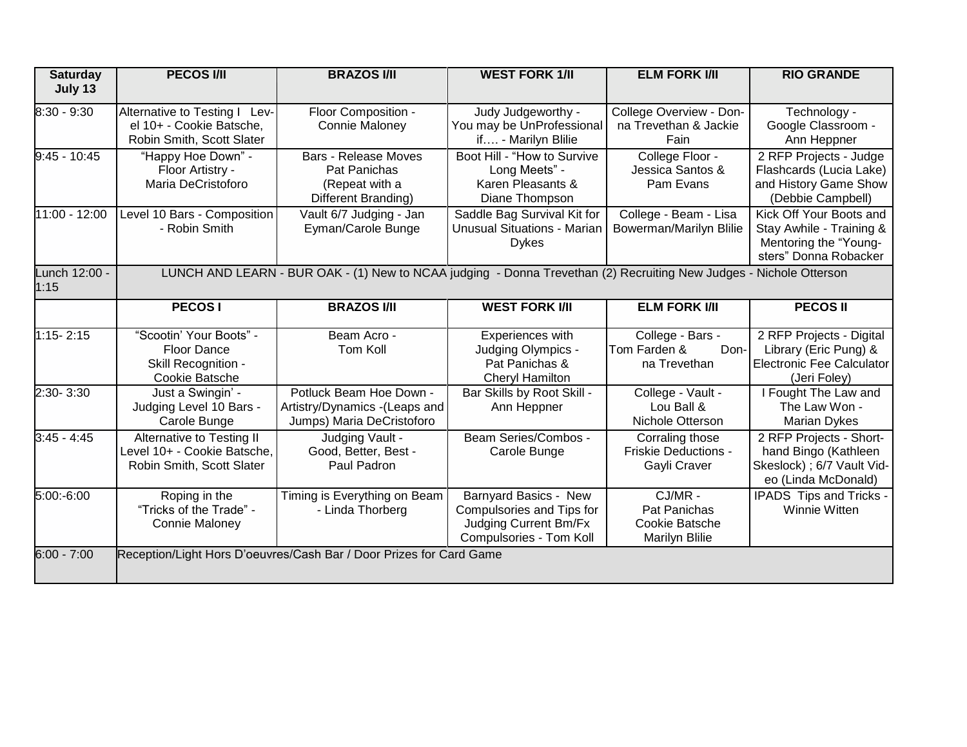| <b>Saturday</b> | <b>PECOS I/II</b>                        | <b>BRAZOS I/II</b>                                                                                                 | <b>WEST FORK 1/II</b>                              | <b>ELM FORK I/II</b>    | <b>RIO GRANDE</b>                              |
|-----------------|------------------------------------------|--------------------------------------------------------------------------------------------------------------------|----------------------------------------------------|-------------------------|------------------------------------------------|
| July 13         |                                          |                                                                                                                    |                                                    |                         |                                                |
| 8:30 - 9:30     | Alternative to Testing I Lev-            | Floor Composition -                                                                                                | Judy Judgeworthy -                                 | College Overview - Don- | Technology -                                   |
|                 | el 10+ - Cookie Batsche,                 | Connie Maloney                                                                                                     | You may be UnProfessional                          | na Trevethan & Jackie   | Google Classroom -                             |
|                 | Robin Smith, Scott Slater                |                                                                                                                    | if - Marilyn Blilie                                | Fain                    | Ann Heppner                                    |
| $9:45 - 10:45$  | "Happy Hoe Down" -                       | <b>Bars - Release Moves</b>                                                                                        | Boot Hill - "How to Survive                        | College Floor -         | 2 RFP Projects - Judge                         |
|                 | Floor Artistry -                         | Pat Panichas                                                                                                       | Long Meets" -                                      | Jessica Santos &        | Flashcards (Lucia Lake)                        |
|                 | Maria DeCristoforo                       | (Repeat with a                                                                                                     | Karen Pleasants &                                  | Pam Evans               | and History Game Show                          |
|                 |                                          | Different Branding)                                                                                                | Diane Thompson                                     |                         | (Debbie Campbell)                              |
| 11:00 - 12:00   | Level 10 Bars - Composition              | Vault 6/7 Judging - Jan                                                                                            | Saddle Bag Survival Kit for                        | College - Beam - Lisa   | Kick Off Your Boots and                        |
|                 | - Robin Smith                            | Eyman/Carole Bunge                                                                                                 | <b>Unusual Situations - Marian</b><br><b>Dykes</b> | Bowerman/Marilyn Blilie | Stay Awhile - Training &                       |
|                 |                                          |                                                                                                                    |                                                    |                         | Mentoring the "Young-<br>sters" Donna Robacker |
| Lunch 12:00 -   |                                          | LUNCH AND LEARN - BUR OAK - (1) New to NCAA judging - Donna Trevethan (2) Recruiting New Judges - Nichole Otterson |                                                    |                         |                                                |
| 1:15            |                                          |                                                                                                                    |                                                    |                         |                                                |
|                 | <b>PECOSI</b>                            | <b>BRAZOS I/II</b>                                                                                                 | <b>WEST FORK I/II</b>                              | <b>ELM FORK I/II</b>    | <b>PECOSII</b>                                 |
|                 |                                          |                                                                                                                    |                                                    |                         |                                                |
| $1:15 - 2:15$   | "Scootin' Your Boots" -                  | Beam Acro -                                                                                                        | Experiences with                                   | College - Bars -        | 2 RFP Projects - Digital                       |
|                 | <b>Floor Dance</b>                       | Tom Koll                                                                                                           | Judging Olympics -                                 | Tom Farden &<br>Don-    | Library (Eric Pung) &                          |
|                 | Skill Recognition -                      |                                                                                                                    | Pat Panichas &                                     | na Trevethan            | Electronic Fee Calculator                      |
|                 | Cookie Batsche                           |                                                                                                                    | Cheryl Hamilton                                    |                         | (Jeri Foley)                                   |
| 2:30-3:30       | Just a Swingin' -                        | Potluck Beam Hoe Down -                                                                                            | Bar Skills by Root Skill -                         | College - Vault -       | I Fought The Law and                           |
|                 | Judging Level 10 Bars -                  | Artistry/Dynamics - (Leaps and                                                                                     | Ann Heppner                                        | Lou Ball &              | The Law Won -                                  |
|                 | Carole Bunge                             | Jumps) Maria DeCristoforo                                                                                          |                                                    | Nichole Otterson        | <b>Marian Dykes</b>                            |
| $3:45 - 4:45$   | Alternative to Testing II                | Judging Vault -                                                                                                    | Beam Series/Combos -                               | Corraling those         | 2 RFP Projects - Short-                        |
|                 | Level 10+ - Cookie Batsche,              | Good, Better, Best -                                                                                               | Carole Bunge                                       | Friskie Deductions -    | hand Bingo (Kathleen                           |
|                 | Robin Smith, Scott Slater                | Paul Padron                                                                                                        |                                                    | Gayli Craver            | Skeslock) ; 6/7 Vault Vid-                     |
|                 |                                          |                                                                                                                    |                                                    |                         | eo (Linda McDonald)                            |
| 5:00:-6:00      | Roping in the<br>"Tricks of the Trade" - | Timing is Everything on Beam                                                                                       | <b>Barnyard Basics - New</b>                       | CJ/MR -<br>Pat Panichas | <b>IPADS</b> Tips and Tricks -                 |
|                 | Connie Maloney                           | - Linda Thorberg                                                                                                   | Compulsories and Tips for<br>Judging Current Bm/Fx | Cookie Batsche          | Winnie Witten                                  |
|                 |                                          |                                                                                                                    | Compulsories - Tom Koll                            | Marilyn Blilie          |                                                |
| $6:00 - 7:00$   |                                          | Reception/Light Hors D'oeuvres/Cash Bar / Door Prizes for Card Game                                                |                                                    |                         |                                                |
|                 |                                          |                                                                                                                    |                                                    |                         |                                                |
|                 |                                          |                                                                                                                    |                                                    |                         |                                                |